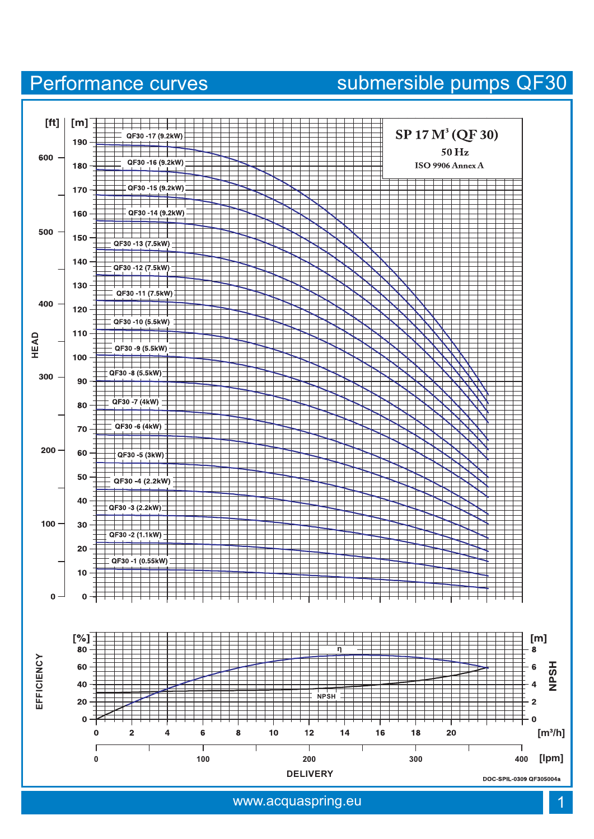## www.acquaspring.eu



## Performance curves submersible pumps QF30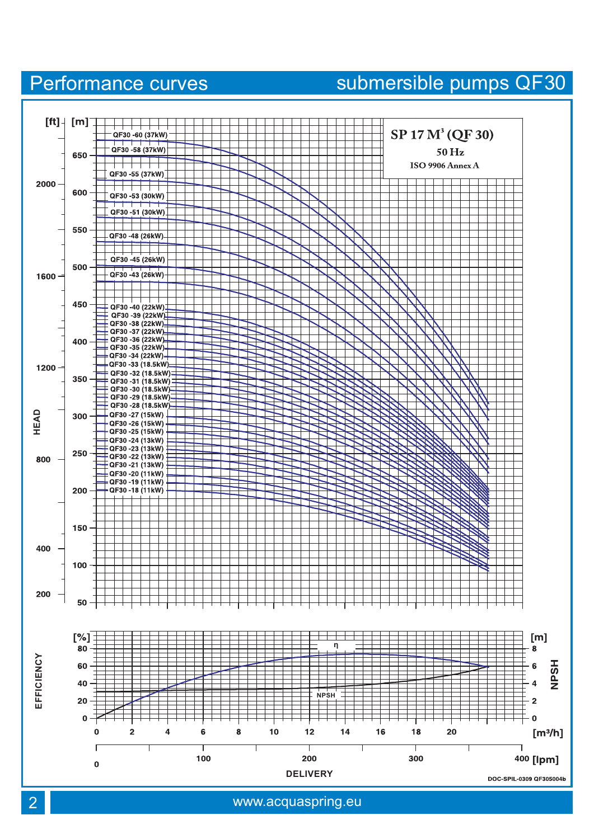### 2 www.acquaspring.eu



## Performance curves submersible pumps QF30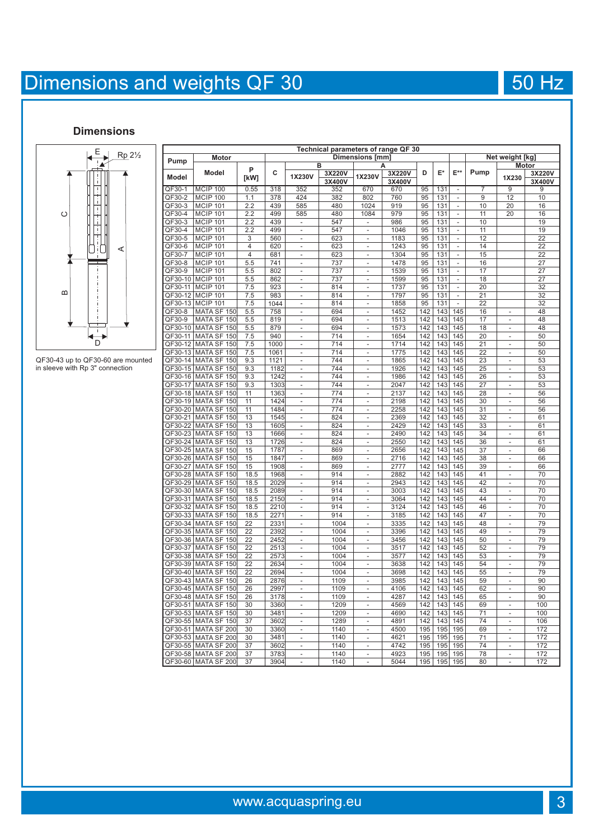# Dimensions and weights QF 30 50 Hz

### **Dimensions**



QF30-43 up to QF30-60 are mounted in sleeve with Rp 3" connection

| Technical parameters of range QF 30<br><b>Motor</b><br>Net weight [kg] |                                                |                         |                      |                                            |                  |                                            |                  |            |            |                          |          |                                            |                  |
|------------------------------------------------------------------------|------------------------------------------------|-------------------------|----------------------|--------------------------------------------|------------------|--------------------------------------------|------------------|------------|------------|--------------------------|----------|--------------------------------------------|------------------|
| Pump                                                                   |                                                |                         | Dimensions [mm]<br>B |                                            |                  |                                            |                  |            |            |                          |          | Motor                                      |                  |
| <b>Model</b>                                                           | Model                                          | P<br>[kW]               | c                    | 1X230V                                     | 3X220V<br>3X400V | 1X230V                                     | 3X220V<br>3X400V | D          | E*         | $E^{\star\star}$         | Pump     | 1X230                                      | 3X220V<br>3X400V |
| QF30-1                                                                 | <b>MCIP 100</b>                                | 0.55                    | 318                  | 352                                        | 352              | 670                                        | 670              | 95         | 131        | $\overline{a}$           | 7        | 9                                          | 9                |
| QF30-2                                                                 | <b>MCIP 100</b>                                | 1.1                     | 378                  | 424                                        | 382              | 802                                        | 760              | 95         | 131        | -                        | 9        | 12                                         | 10               |
| QF30-3                                                                 | <b>MCIP 101</b>                                | 2.2                     | 439                  | 585                                        | 480              | 1024                                       | 919              | 95         | 131        | $\overline{\phantom{a}}$ | 10       | 20                                         | 16               |
| QF30-4                                                                 | <b>MCIP 101</b>                                | 2.2                     | 499                  | 585                                        | 480              | 1084                                       | 979              | 95         | 131        | $\frac{1}{2}$            | 11       | 20                                         | 16               |
| QF30-3                                                                 | <b>MCIP 101</b>                                | 2.2                     | 439                  | $\overline{\phantom{a}}$                   | 547              | $\overline{\phantom{0}}$                   | 986              | 95         | 131        | $\overline{a}$           | 10       |                                            | 19               |
| QF30-4                                                                 | <b>MCIP 101</b>                                | 2.2                     | 499                  | $\overline{\phantom{a}}$                   | 547              | $\overline{a}$                             | 1046             | 95         | 131        | $\overline{a}$           | 11       |                                            | 19               |
| QF30-5                                                                 | <b>MCIP 101</b>                                | 3                       | 560                  | $\overline{\phantom{a}}$                   | 623              | $\frac{1}{2}$                              | 1183             | 95         | 131        | $\overline{a}$           | 12       |                                            | $\overline{22}$  |
| QF30-6                                                                 | <b>MCIP 101</b>                                | 4                       | 620                  | $\overline{\phantom{a}}$                   | 623              | $\overline{\phantom{0}}$                   | 1243             | 95         | 131        |                          | 14       |                                            | 22               |
| QF30-7                                                                 | <b>MCIP 101</b>                                | $\overline{\mathbf{4}}$ | 681                  | $\overline{a}$                             | 623              | $\overline{a}$                             | 1304             | 95         | 131        | $\overline{a}$           | 15       |                                            | 22               |
| QF30-8                                                                 | <b>MCIP 101</b>                                | 5.5                     | 741                  | $\overline{a}$                             | 737              | $\overline{a}$                             | 1478             | 95         | 131        | $\frac{1}{2}$            | 16       |                                            | 27               |
| QF30-9                                                                 | <b>MCIP 101</b>                                | 5.5                     | 802                  | $\blacksquare$                             | 737              | $\overline{\phantom{0}}$                   | 1539             | 95         | 131        | $\frac{1}{2}$            | 17       |                                            | 27               |
| QF30-10                                                                | <b>MCIP 101</b>                                | 5.5                     | 862                  | $\overline{a}$                             | 737              | $\overline{a}$                             | 1599             | 95         | 131        | ÷,                       | 18       |                                            | 27               |
| QF30-11                                                                | <b>MCIP 101</b>                                | 7.5                     | 923                  | $\overline{a}$                             | 814              | $\overline{a}$                             | 1737             | 95         | 131        | $\frac{1}{2}$            | 20       |                                            | 32               |
| QF30-12                                                                | <b>MCIP 101</b>                                | 7.5                     | 983                  | $\blacksquare$                             | 814              | $\overline{\phantom{0}}$                   | 1797             | 95         | 131        | $\frac{1}{2}$            | 21       |                                            | 32               |
| QF30-13                                                                | <b>MCIP 101</b>                                | 7.5                     | 1044                 |                                            | 814              |                                            | 1858             | 95         | 131        |                          | 22       |                                            | 32               |
| QF30-8                                                                 | MATA SF 150                                    | 5.5                     | 758                  |                                            | 694              |                                            | 1452             | 142        | 143        | 145                      | 16       |                                            | 48               |
| QF30-9                                                                 | 150<br><b>MATA SF</b>                          | 5.5                     | 819                  | $\overline{\phantom{a}}$                   | 694              | $\overline{\phantom{a}}$                   | 1513             | 142        | 143        | 145                      | 17       | $\overline{\phantom{a}}$                   | 48               |
| QF30-10                                                                | MATA SF 150                                    | 5.5                     | 879                  | $\overline{a}$                             | 694              | $\overline{a}$                             | 1573             | 142        | 143        | 145                      | 18       | $\overline{a}$                             | 48               |
| QF30-11                                                                | <b>MATA SF</b><br>150                          | 7.5                     | 940                  | $\overline{\phantom{a}}$                   | 714              |                                            | 1654             | 142        | 143        | 145                      | 20       | $\overline{a}$                             | 50               |
| QF30-12                                                                | <b>MATA SF</b><br>150                          | 7.5                     | 1000                 | $\overline{\phantom{a}}$                   | 714              | $\overline{\phantom{0}}$                   | 1714             | 142        | 143        | 145                      | 21       | $\overline{\phantom{a}}$                   | 50               |
| QF30-13                                                                | <b>MATA SF</b><br>150                          | 7.5                     | 1061                 | $\overline{a}$                             | 714              | $\overline{a}$                             | 1775             | 142        | 143        | 145                      | 22       | $\overline{a}$                             | 50               |
| QF30-14                                                                | <b>MATA SF</b><br>150                          | 9.3                     | 1121                 |                                            | 744              |                                            | 1865             | 142        | 143        | 145                      | 23       |                                            | 53               |
| QF30-15                                                                | <b>MATA SF</b><br>150                          | 9.3                     | 1182                 | $\overline{\phantom{a}}$<br>$\overline{a}$ | 744              | $\overline{\phantom{a}}$<br>$\overline{a}$ | 1926             | 142        | 143        | 145                      | 25       | $\overline{\phantom{a}}$<br>$\overline{a}$ | 53               |
| QF30-16<br>QF30-17                                                     | <b>MATA SF</b><br>150<br>MATA SF 150           | 9.3                     | 1242<br>1303         |                                            | 744<br>744       |                                            | 1986<br>2047     | 142<br>142 | 143<br>143 | 145<br>145               | 26<br>27 |                                            | 53<br>53         |
|                                                                        |                                                | 9.3                     |                      | $\frac{1}{2}$                              | 774              | $\overline{a}$                             |                  | 142        |            | 145                      | 28       | $\overline{a}$                             |                  |
| QF30-18<br>QF30-19                                                     | <b>MATA SF</b><br>150<br><b>MATA SF</b><br>150 | 11<br>11                | 1363<br>1424         | $\overline{\phantom{a}}$<br>$\overline{a}$ | 774              | $\overline{a}$<br>$\overline{a}$           | 2137<br>2198     | 142        | 143<br>143 | 145                      | 30       | $\overline{a}$<br>$\overline{a}$           | 56<br>56         |
| QF30-20                                                                | <b>MATA SF</b><br>150                          | 11                      | 1484                 | $\frac{1}{2}$                              | 774              | L                                          | 2258             | 142        | 143        | 145                      | 31       | $\overline{a}$                             | 56               |
| QF30-21                                                                | <b>MATA SF</b><br>150                          | 13                      | 1545                 | $\overline{\phantom{a}}$                   | 824              | $\overline{\phantom{a}}$                   | 2369             | 142        | 143        | 145                      | 32       | $\frac{1}{2}$                              | 61               |
| QF30-22                                                                | MATA SF 150                                    | 13                      | 1605                 | $\overline{\phantom{a}}$                   | 824              | $\overline{\phantom{0}}$                   | 2429             | 142        | 143        | 145                      | 33       | $\frac{1}{2}$                              | 61               |
| QF30-23                                                                | MATA SF 150                                    | 13                      | 1666                 | $\overline{\phantom{a}}$                   | 824              | $\overline{\phantom{0}}$                   | 2490             | 142        | 143        | 145                      | 34       | $\overline{a}$                             | 61               |
| QF30-24                                                                | <b>MATA SF</b><br>15 <sub>C</sub>              | 13                      | 1726                 | $\overline{a}$                             | 824              | $\overline{a}$                             | 2550             | 142        | 143        | 145                      | 36       | $\overline{a}$                             | 61               |
| QF30-25                                                                | <b>MATA SF</b><br>150                          | 15                      | 1787                 | $\overline{\phantom{a}}$                   | 869              | $\overline{\phantom{0}}$                   | 2656             | 142        | 143        | 145                      | 37       | $\overline{a}$                             | 66               |
| QF30-26                                                                | MATA SF 150                                    | 15                      | 1847                 | $\overline{\phantom{a}}$                   | 869              | $\overline{\phantom{0}}$                   | 2716             | 142        | 143        | 145                      | 38       | $\overline{a}$                             | 66               |
| QF30-27                                                                | MATA SF 150                                    | 15                      | 1908                 | $\overline{a}$                             | 869              | $\overline{a}$                             | 2777             | 142        | 143        | 145                      | 39       | $\overline{a}$                             | 66               |
| QF30-28                                                                | MATA SF 150                                    | 18.5                    | 1968                 | $\overline{\phantom{a}}$                   | 914              | ÷,                                         | 2882             | 142        | 143        | 145                      | 41       | $\frac{1}{2}$                              | 70               |
| QF30-29                                                                | <b>MATA SF</b><br>150                          | 18.5                    | 2029                 | $\overline{\phantom{a}}$                   | 914              | $\overline{a}$                             | 2943             | 142        | 143        | 145                      | 42       | $\overline{a}$                             | 70               |
| QF30-30                                                                | MATA SF 150                                    | 18.5                    | 2089                 | $\overline{a}$                             | 914              | $\overline{a}$                             | 3003             | 142        | 143        | 145                      | 43       | $\overline{a}$                             | 70               |
| QF30-31                                                                | MATA SF 150                                    | 18.5                    | 2150                 | $\overline{\phantom{a}}$                   | 914              |                                            | 3064             | 142        | 143        | 145                      | 44       |                                            | 70               |
| QF30-32                                                                | MATA SF 150                                    | 18.5                    | 2210                 | $\overline{\phantom{a}}$                   | 914              | $\overline{a}$                             | 3124             | 142        | 143        | 145                      | 46       | $\overline{a}$                             | 70               |
| QF30-33                                                                | MATA SF 150                                    | 18.5                    | 2271                 | $\overline{a}$                             | 914              | $\overline{a}$                             | 3185             | 142        | 143        | 145                      | 47       | $\overline{a}$                             | 70               |
| QF30-34                                                                | MATA SF 150                                    | 22                      | 2331                 | $\overline{\phantom{a}}$                   | 1004             | $\overline{\phantom{0}}$                   | 3335             | 142        | 143        | 145                      | 48       | $\frac{1}{2}$                              | 79               |
| QF30-35                                                                | <b>MATA SF</b><br>150                          | 22                      | 2392                 | $\overline{\phantom{a}}$                   | 1004             | $\overline{\phantom{0}}$                   | 3396             | 142        | 143        | 145                      | 49       | $\frac{1}{2}$                              | 79               |
| QF30-36                                                                | <b>MATA SF</b><br>150                          | 22                      | 2452                 | $\overline{a}$                             | 1004             | $\overline{a}$                             | 3456             | 142        | 143        | 145                      | 50       | $\overline{a}$                             | 79               |
| QF30-37                                                                | <b>MATA SF</b><br>150                          | 22                      | 2513                 | $\overline{\phantom{a}}$                   | 1004             | $\overline{\phantom{0}}$                   | 3517             | 142        | 143        | 145                      | 52       | $\overline{\phantom{0}}$                   | 79               |
| QF30-38                                                                | <b>MATA SF</b><br>150                          | 22                      | 2573                 | $\blacksquare$                             | 1004             | $\overline{\phantom{a}}$                   | 3577             | 142        | 143        | 145                      | 53       | $\frac{1}{2}$                              | 79               |
| QF30-39                                                                | <b>MATA SF</b><br>150                          | 22                      | 2634                 | $\overline{\phantom{a}}$                   | 1004             | $\overline{\phantom{0}}$                   | 3638             | 142        | 143        | 145                      | 54       | $\frac{1}{2}$                              | 79               |
| QF30-40                                                                | <b>MATA SF</b><br>150                          | 22                      | 2694                 | $\overline{\phantom{a}}$                   | 1004             | -                                          | 3698             | 142        | 143        | 145                      | 55       | $\overline{\phantom{0}}$                   | 79               |
| QF30-43                                                                | <b>MATA SF</b><br>150                          | 26                      | 2876                 | $\blacksquare$                             | 1109             | $\overline{\phantom{a}}$                   | 3985             | 142        | 143        | 145                      | 59       | $\frac{1}{2}$                              | 90               |
| QF30-45                                                                | <b>MATA SF</b><br>150                          | 26                      | 299                  | $\overline{\phantom{a}}$                   | 1109             | $\overline{\phantom{0}}$                   | 4106             | 142        | 143        | 145                      | 62       | $\overline{a}$                             | 90               |
| QF30-48                                                                | <b>MATA SF</b><br>150                          | 26                      | 3178                 | $\overline{\phantom{a}}$                   | 1109             | $\overline{\phantom{0}}$                   | 4287             | 142        | 143        | 145                      | 65       | $\overline{a}$                             | 90               |
| QF30-51                                                                | <b>MATA SF</b><br>150                          | 30                      | 3360                 | $\overline{a}$                             | 1209             | $\overline{a}$                             | 4569             | 142        | 143        | 145                      | 69       | $\overline{a}$                             | 100              |
| QF30-53                                                                | MATA SF 150                                    | 30                      | 3481                 | $\blacksquare$                             | 1209             | $\overline{\phantom{0}}$                   | 4690             | 142        | 143        | 145                      | 71       | $\frac{1}{2}$                              | 100              |
| QF30-55                                                                | <b>MATA SF</b><br>150                          | 37                      | 3602                 | $\overline{\phantom{m}}$<br>$\overline{a}$ | 1289             | $\overline{\phantom{0}}$<br>$\overline{a}$ | 4891             | 142        | 143        | 145                      | 74       | $\overline{\phantom{0}}$<br>$\overline{a}$ | 106              |
| QF30-51                                                                | MATA SF 200                                    | 30                      | 3360                 |                                            | 1140             |                                            | 4500             | 195        | 195        | 195                      | 69       |                                            | 172              |
| QF30-53                                                                | <b>MATA SF</b><br>200                          | 30                      | 3481                 | $\overline{\phantom{a}}$                   | 1140<br>1140     |                                            | 4621<br>4742     | 195<br>195 | 195        | 195                      | 71<br>74 |                                            | 172              |
| QF30-55<br>QF30-58                                                     | MATA SF 200<br>MATA SF 200                     | 37<br>37                | 3602<br>3783         | $\overline{\phantom{a}}$                   | 1140             | $\overline{\phantom{0}}$                   | 4923             | 195        | 195<br>195 | 195<br>195               | 78       | $\frac{1}{2}$                              | 172<br>172       |
|                                                                        | QF30-60 MATA SF 200                            | 37                      | 3904                 | $\overline{\phantom{a}}$                   | 1140             |                                            | 5044             | 195        | 195        | 195                      | 80       |                                            | 172              |
|                                                                        |                                                |                         |                      |                                            |                  |                                            |                  |            |            |                          |          |                                            |                  |